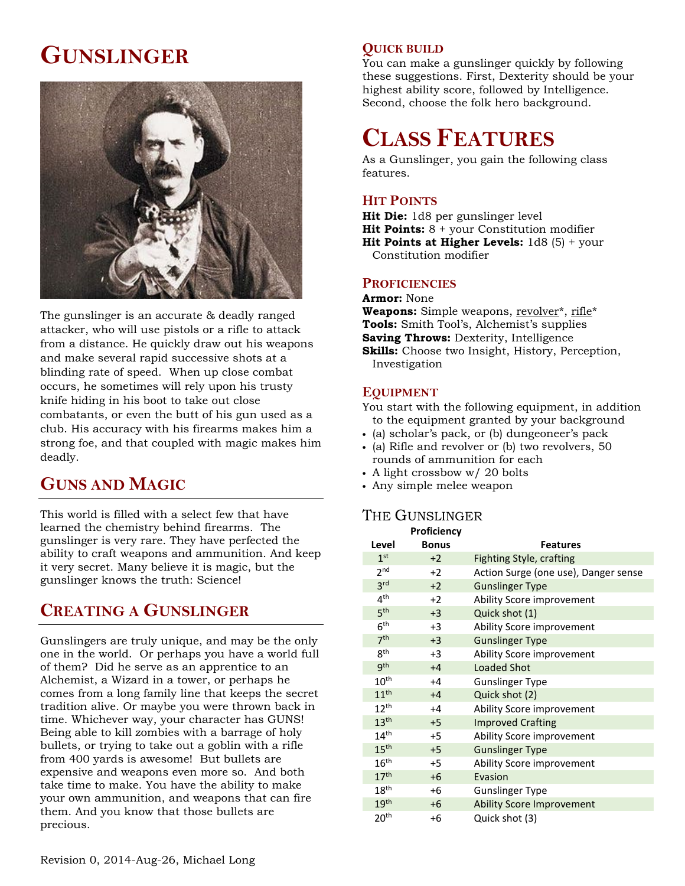# **GUNSLINGER**



The gunslinger is an accurate & deadly ranged attacker, who will use pistols or a rifle to attack from a distance. He quickly draw out his weapons and make several rapid successive shots at a blinding rate of speed. When up close combat occurs, he sometimes will rely upon his trusty knife hiding in his boot to take out close combatants, or even the butt of his gun used as a club. His accuracy with his firearms makes him a strong foe, and that coupled with magic makes him deadly.

## **GUNS AND MAGIC**

This world is filled with a select few that have learned the chemistry behind firearms. The gunslinger is very rare. They have perfected the ability to craft weapons and ammunition. And keep it very secret. Many believe it is magic, but the gunslinger knows the truth: Science!

### **CREATING A GUNSLINGER**

Gunslingers are truly unique, and may be the only one in the world. Or perhaps you have a world full of them? Did he serve as an apprentice to an Alchemist, a Wizard in a tower, or perhaps he comes from a long family line that keeps the secret tradition alive. Or maybe you were thrown back in time. Whichever way, your character has GUNS! Being able to kill zombies with a barrage of holy bullets, or trying to take out a goblin with a rifle from 400 yards is awesome! But bullets are expensive and weapons even more so. And both take time to make. You have the ability to make your own ammunition, and weapons that can fire them. And you know that those bullets are precious.

### **QUICK BUILD**

You can make a gunslinger quickly by following these suggestions. First, Dexterity should be your highest ability score, followed by Intelligence. Second, choose the folk hero background.

# **CLASS FEATURES**

As a Gunslinger, you gain the following class features.

### **HIT POINTS**

**Hit Die:** 1d8 per gunslinger level **Hit Points:** 8 + your Constitution modifier **Hit Points at Higher Levels:** 1d8 (5) + your Constitution modifier

#### **PROFICIENCIES**

**Armor:** None **Weapons:** Simple weapons, revolver<sup>\*</sup>, rifle<sup>\*</sup> **Tools:** Smith Tool's, Alchemist's supplies **Saving Throws:** Dexterity, Intelligence

**Skills:** Choose two Insight, History, Perception, Investigation

#### **EQUIPMENT**

You start with the following equipment, in addition to the equipment granted by your background

- (a) scholar's pack, or (b) dungeoneer's pack
- (a) Rifle and revolver or (b) two revolvers, 50 rounds of ammunition for each
- A light crossbow w/ 20 bolts
- Any simple melee weapon

### THE GUNSLINGER

|                  | Proficiency  |                                      |
|------------------|--------------|--------------------------------------|
| Level            | <b>Bonus</b> | <b>Features</b>                      |
| 1 <sup>st</sup>  | $+2$         | Fighting Style, crafting             |
| 2 <sub>nd</sub>  | $+2$         | Action Surge (one use), Danger sense |
| 3 <sup>rd</sup>  | $+2$         | <b>Gunslinger Type</b>               |
| 4 <sup>th</sup>  | $+2$         | Ability Score improvement            |
| 5 <sup>th</sup>  | $+3$         | Quick shot (1)                       |
| 6 <sup>th</sup>  | +3           | Ability Score improvement            |
| 7 <sup>th</sup>  | $+3$         | <b>Gunslinger Type</b>               |
| 8 <sup>th</sup>  | $+3$         | Ability Score improvement            |
| 9 <sup>th</sup>  | $+4$         | <b>Loaded Shot</b>                   |
| $10^{\text{th}}$ | $+4$         | <b>Gunslinger Type</b>               |
| 11 <sup>th</sup> | $+4$         | Quick shot (2)                       |
| 12 <sup>th</sup> | $+4$         | Ability Score improvement            |
| 13 <sup>th</sup> | $+5$         | <b>Improved Crafting</b>             |
| 14 <sup>th</sup> | $+5$         | Ability Score improvement            |
| 15 <sup>th</sup> | $+5$         | <b>Gunslinger Type</b>               |
| $16^{\text{th}}$ | $+5$         | Ability Score improvement            |
| 17 <sup>th</sup> | $+6$         | Evasion                              |
| 18 <sup>th</sup> | +6           | <b>Gunslinger Type</b>               |
| 19 <sup>th</sup> | $+6$         | <b>Ability Score Improvement</b>     |
| $20^{\sf th}$    | +6           | Quick shot (3)                       |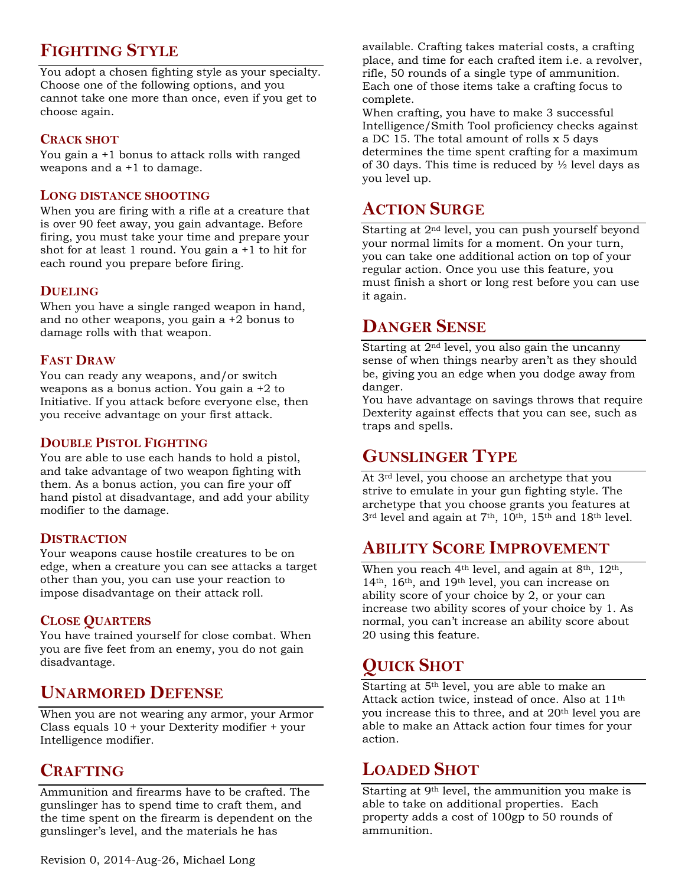# **FIGHTING STYLE**

You adopt a chosen fighting style as your specialty. Choose one of the following options, and you cannot take one more than once, even if you get to choose again.

### **CRACK SHOT**

You gain a +1 bonus to attack rolls with ranged weapons and a +1 to damage.

#### **LONG DISTANCE SHOOTING**

When you are firing with a rifle at a creature that is over 90 feet away, you gain advantage. Before firing, you must take your time and prepare your shot for at least 1 round. You gain a +1 to hit for each round you prepare before firing.

### **DUELING**

When you have a single ranged weapon in hand, and no other weapons, you gain a +2 bonus to damage rolls with that weapon.

### **FAST DRAW**

You can ready any weapons, and/or switch weapons as a bonus action. You gain a +2 to Initiative. If you attack before everyone else, then you receive advantage on your first attack.

#### **DOUBLE PISTOL FIGHTING**

You are able to use each hands to hold a pistol, and take advantage of two weapon fighting with them. As a bonus action, you can fire your off hand pistol at disadvantage, and add your ability modifier to the damage.

#### **DISTRACTION**

Your weapons cause hostile creatures to be on edge, when a creature you can see attacks a target other than you, you can use your reaction to impose disadvantage on their attack roll.

### **CLOSE QUARTERS**

You have trained yourself for close combat. When you are five feet from an enemy, you do not gain disadvantage.

### **UNARMORED DEFENSE**

When you are not wearing any armor, your Armor Class equals 10 + your Dexterity modifier + your Intelligence modifier.

### **CRAFTING**

Ammunition and firearms have to be crafted. The gunslinger has to spend time to craft them, and the time spent on the firearm is dependent on the gunslinger's level, and the materials he has

available. Crafting takes material costs, a crafting place, and time for each crafted item i.e. a revolver, rifle, 50 rounds of a single type of ammunition. Each one of those items take a crafting focus to complete.

When crafting, you have to make 3 successful Intelligence/Smith Tool proficiency checks against a DC 15. The total amount of rolls x 5 days determines the time spent crafting for a maximum of 30 days. This time is reduced by  $\frac{1}{2}$  level days as you level up.

## **ACTION SURGE**

Starting at 2nd level, you can push yourself beyond your normal limits for a moment. On your turn, you can take one additional action on top of your regular action. Once you use this feature, you must finish a short or long rest before you can use it again.

### **DANGER SENSE**

Starting at 2nd level, you also gain the uncanny sense of when things nearby aren't as they should be, giving you an edge when you dodge away from danger.

You have advantage on savings throws that require Dexterity against effects that you can see, such as traps and spells.

## **GUNSLINGER TYPE**

At 3rd level, you choose an archetype that you strive to emulate in your gun fighting style. The archetype that you choose grants you features at 3<sup>rd</sup> level and again at 7<sup>th</sup>, 10<sup>th</sup>, 15<sup>th</sup> and 18<sup>th</sup> level.

### **ABILITY SCORE IMPROVEMENT**

When you reach 4<sup>th</sup> level, and again at 8<sup>th</sup>, 12<sup>th</sup>, 14th, 16th, and 19th level, you can increase on ability score of your choice by 2, or your can increase two ability scores of your choice by 1. As normal, you can't increase an ability score about 20 using this feature.

# **QUICK SHOT**

Starting at 5th level, you are able to make an Attack action twice, instead of once. Also at 11th you increase this to three, and at 20<sup>th</sup> level you are able to make an Attack action four times for your action.

### **LOADED SHOT**

Starting at 9th level, the ammunition you make is able to take on additional properties. Each property adds a cost of 100gp to 50 rounds of ammunition.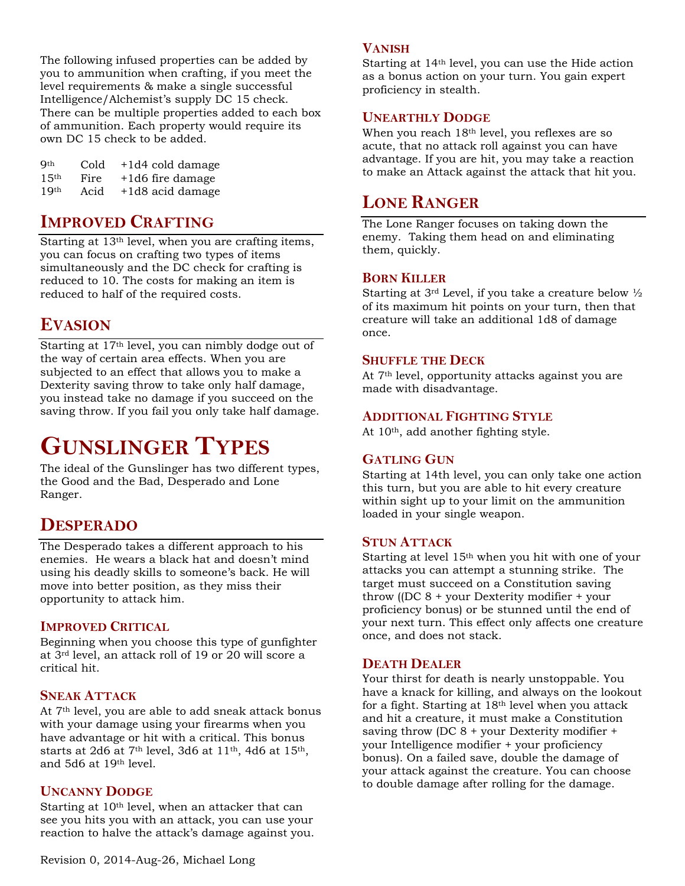The following infused properties can be added by you to ammunition when crafting, if you meet the level requirements & make a single successful Intelligence/Alchemist's supply DC 15 check. There can be multiple properties added to each box of ammunition. Each property would require its own DC 15 check to be added.

| Qth              | Cold | +1d4 cold damage |
|------------------|------|------------------|
| 15 <sup>th</sup> | Fire | +1d6 fire damage |
| 1Q <sub>th</sub> | Acid | +1d8 acid damage |

### **IMPROVED CRAFTING**

Starting at 13th level, when you are crafting items, you can focus on crafting two types of items simultaneously and the DC check for crafting is reduced to 10. The costs for making an item is reduced to half of the required costs.

### **EVASION**

Starting at 17th level, you can nimbly dodge out of the way of certain area effects. When you are subjected to an effect that allows you to make a Dexterity saving throw to take only half damage, you instead take no damage if you succeed on the saving throw. If you fail you only take half damage.

# **GUNSLINGER TYPES**

The ideal of the Gunslinger has two different types, the Good and the Bad, Desperado and Lone Ranger.

### **DESPERADO**

The Desperado takes a different approach to his enemies. He wears a black hat and doesn't mind using his deadly skills to someone's back. He will move into better position, as they miss their opportunity to attack him.

### **IMPROVED CRITICAL**

Beginning when you choose this type of gunfighter at 3rd level, an attack roll of 19 or 20 will score a critical hit.

#### **SNEAK ATTACK**

At 7th level, you are able to add sneak attack bonus with your damage using your firearms when you have advantage or hit with a critical. This bonus starts at 2d6 at 7th level, 3d6 at 11th, 4d6 at 15th, and 5d6 at 19th level.

### **UNCANNY DODGE**

Starting at 10<sup>th</sup> level, when an attacker that can see you hits you with an attack, you can use your reaction to halve the attack's damage against you.

### **VANISH**

Starting at 14th level, you can use the Hide action as a bonus action on your turn. You gain expert proficiency in stealth.

### **UNEARTHLY DODGE**

When you reach 18th level, you reflexes are so acute, that no attack roll against you can have advantage. If you are hit, you may take a reaction to make an Attack against the attack that hit you.

### **LONE RANGER**

The Lone Ranger focuses on taking down the enemy. Taking them head on and eliminating them, quickly.

#### **BORN KILLER**

Starting at  $3^{rd}$  Level, if you take a creature below  $\frac{1}{2}$ of its maximum hit points on your turn, then that creature will take an additional 1d8 of damage once.

#### **SHUFFLE THE DECK**

At 7th level, opportunity attacks against you are made with disadvantage.

#### **ADDITIONAL FIGHTING STYLE**

At 10<sup>th</sup>, add another fighting style.

### **GATLING GUN**

Starting at 14th level, you can only take one action this turn, but you are able to hit every creature within sight up to your limit on the ammunition loaded in your single weapon.

#### **STUN ATTACK**

Starting at level 15th when you hit with one of your attacks you can attempt a stunning strike. The target must succeed on a Constitution saving throw ((DC 8 + your Dexterity modifier + your proficiency bonus) or be stunned until the end of your next turn. This effect only affects one creature once, and does not stack.

### **DEATH DEALER**

Your thirst for death is nearly unstoppable. You have a knack for killing, and always on the lookout for a fight. Starting at  $18<sup>th</sup>$  level when you attack and hit a creature, it must make a Constitution saving throw (DC 8 + your Dexterity modifier + your Intelligence modifier + your proficiency bonus). On a failed save, double the damage of your attack against the creature. You can choose to double damage after rolling for the damage.